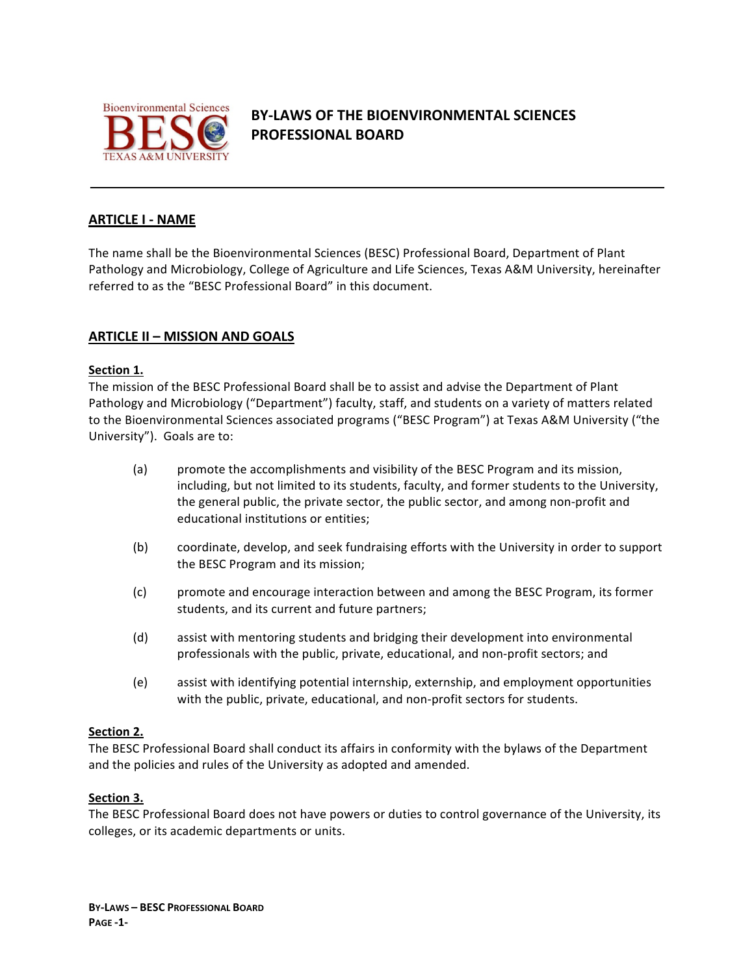

# **BY-LAWS OF THE BIOENVIRONMENTAL SCIENCES PROFESSIONAL BOARD**

# **ARTICLE I - NAME**

The name shall be the Bioenvironmental Sciences (BESC) Professional Board, Department of Plant Pathology and Microbiology, College of Agriculture and Life Sciences, Texas A&M University, hereinafter referred to as the "BESC Professional Board" in this document.

# **ARTICLE II – MISSION AND GOALS**

#### **Section 1.**

The mission of the BESC Professional Board shall be to assist and advise the Department of Plant Pathology and Microbiology ("Department") faculty, staff, and students on a variety of matters related to the Bioenvironmental Sciences associated programs ("BESC Program") at Texas A&M University ("the University"). Goals are to:

- (a) promote the accomplishments and visibility of the BESC Program and its mission, including, but not limited to its students, faculty, and former students to the University, the general public, the private sector, the public sector, and among non-profit and educational institutions or entities;
- (b) coordinate, develop, and seek fundraising efforts with the University in order to support the BESC Program and its mission;
- (c) promote and encourage interaction between and among the BESC Program, its former students, and its current and future partners;
- (d) assist with mentoring students and bridging their development into environmental professionals with the public, private, educational, and non-profit sectors; and
- (e) assist with identifying potential internship, externship, and employment opportunities with the public, private, educational, and non-profit sectors for students.

#### **Section 2.**

The BESC Professional Board shall conduct its affairs in conformity with the bylaws of the Department and the policies and rules of the University as adopted and amended.

#### **Section 3.**

The BESC Professional Board does not have powers or duties to control governance of the University, its colleges, or its academic departments or units.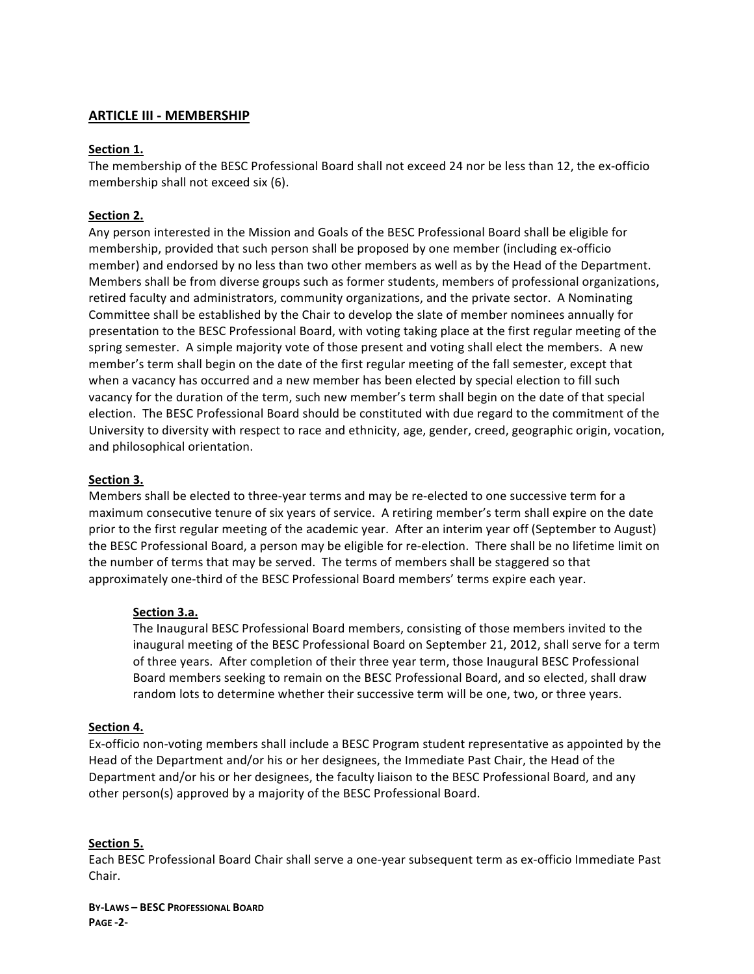# **ARTICLE III - MEMBERSHIP**

### **Section 1.**

The membership of the BESC Professional Board shall not exceed 24 nor be less than 12, the ex-officio membership shall not exceed six (6).

# **Section 2.**

Any person interested in the Mission and Goals of the BESC Professional Board shall be eligible for membership, provided that such person shall be proposed by one member (including ex-officio member) and endorsed by no less than two other members as well as by the Head of the Department. Members shall be from diverse groups such as former students, members of professional organizations, retired faculty and administrators, community organizations, and the private sector. A Nominating Committee shall be established by the Chair to develop the slate of member nominees annually for presentation to the BESC Professional Board, with voting taking place at the first regular meeting of the spring semester. A simple majority vote of those present and voting shall elect the members. A new member's term shall begin on the date of the first regular meeting of the fall semester, except that when a vacancy has occurred and a new member has been elected by special election to fill such vacancy for the duration of the term, such new member's term shall begin on the date of that special election. The BESC Professional Board should be constituted with due regard to the commitment of the University to diversity with respect to race and ethnicity, age, gender, creed, geographic origin, vocation, and philosophical orientation.

#### **Section 3.**

Members shall be elected to three-year terms and may be re-elected to one successive term for a maximum consecutive tenure of six years of service. A retiring member's term shall expire on the date prior to the first regular meeting of the academic year. After an interim year off (September to August) the BESC Professional Board, a person may be eligible for re-election. There shall be no lifetime limit on the number of terms that may be served. The terms of members shall be staggered so that approximately one-third of the BESC Professional Board members' terms expire each year.

#### **Section 3.a.**

The Inaugural BESC Professional Board members, consisting of those members invited to the inaugural meeting of the BESC Professional Board on September 21, 2012, shall serve for a term of three years. After completion of their three year term, those Inaugural BESC Professional Board members seeking to remain on the BESC Professional Board, and so elected, shall draw random lots to determine whether their successive term will be one, two, or three years.

#### **Section 4.**

Ex-officio non-voting members shall include a BESC Program student representative as appointed by the Head of the Department and/or his or her designees, the Immediate Past Chair, the Head of the Department and/or his or her designees, the faculty liaison to the BESC Professional Board, and any other person(s) approved by a majority of the BESC Professional Board.

#### **Section 5.**

Each BESC Professional Board Chair shall serve a one-year subsequent term as ex-officio Immediate Past Chair. 

**BY-LAWS – BESC PROFESSIONAL BOARD PAGE -2-**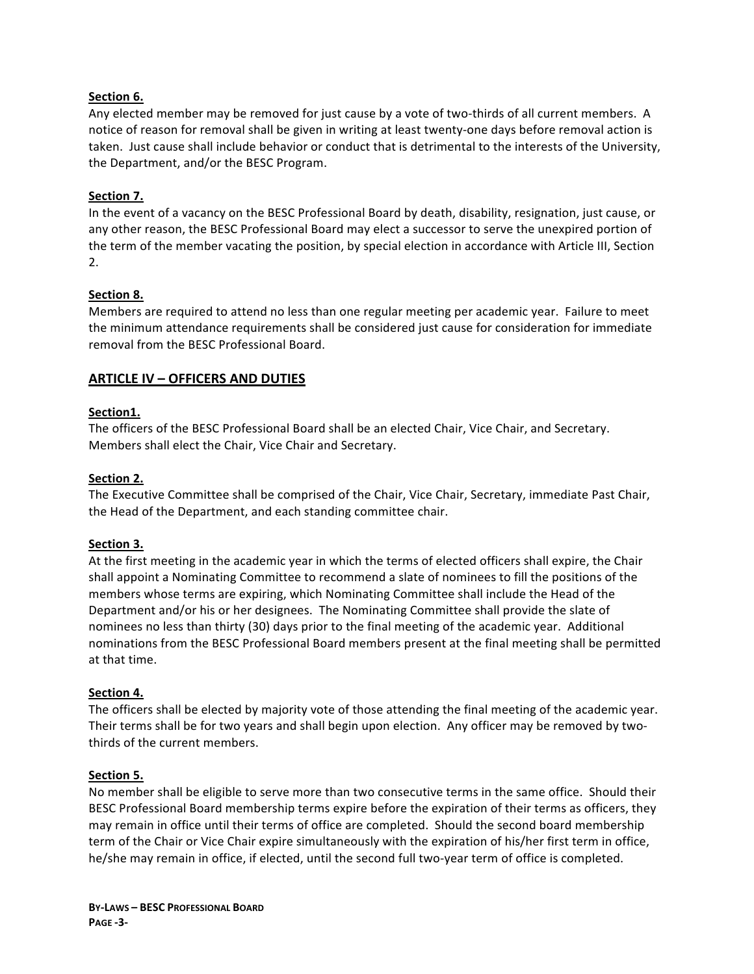### Section 6.

Any elected member may be removed for just cause by a vote of two-thirds of all current members. A notice of reason for removal shall be given in writing at least twenty-one days before removal action is taken. Just cause shall include behavior or conduct that is detrimental to the interests of the University, the Department, and/or the BESC Program.

# **Section 7.**

In the event of a vacancy on the BESC Professional Board by death, disability, resignation, just cause, or any other reason, the BESC Professional Board may elect a successor to serve the unexpired portion of the term of the member vacating the position, by special election in accordance with Article III, Section 2.

#### **Section 8.**

Members are required to attend no less than one regular meeting per academic year. Failure to meet the minimum attendance requirements shall be considered just cause for consideration for immediate removal from the BESC Professional Board.

# **ARTICLE IV - OFFICERS AND DUTIES**

#### **Section1.**

The officers of the BESC Professional Board shall be an elected Chair, Vice Chair, and Secretary. Members shall elect the Chair, Vice Chair and Secretary.

#### Section 2.

The Executive Committee shall be comprised of the Chair, Vice Chair, Secretary, immediate Past Chair, the Head of the Department, and each standing committee chair.

#### **Section 3.**

At the first meeting in the academic year in which the terms of elected officers shall expire, the Chair shall appoint a Nominating Committee to recommend a slate of nominees to fill the positions of the members whose terms are expiring, which Nominating Committee shall include the Head of the Department and/or his or her designees. The Nominating Committee shall provide the slate of nominees no less than thirty (30) days prior to the final meeting of the academic year. Additional nominations from the BESC Professional Board members present at the final meeting shall be permitted at that time.

#### Section 4.

The officers shall be elected by majority vote of those attending the final meeting of the academic year. Their terms shall be for two years and shall begin upon election. Any officer may be removed by twothirds of the current members.

#### **Section 5.**

No member shall be eligible to serve more than two consecutive terms in the same office. Should their BESC Professional Board membership terms expire before the expiration of their terms as officers, they may remain in office until their terms of office are completed. Should the second board membership term of the Chair or Vice Chair expire simultaneously with the expiration of his/her first term in office, he/she may remain in office, if elected, until the second full two-year term of office is completed.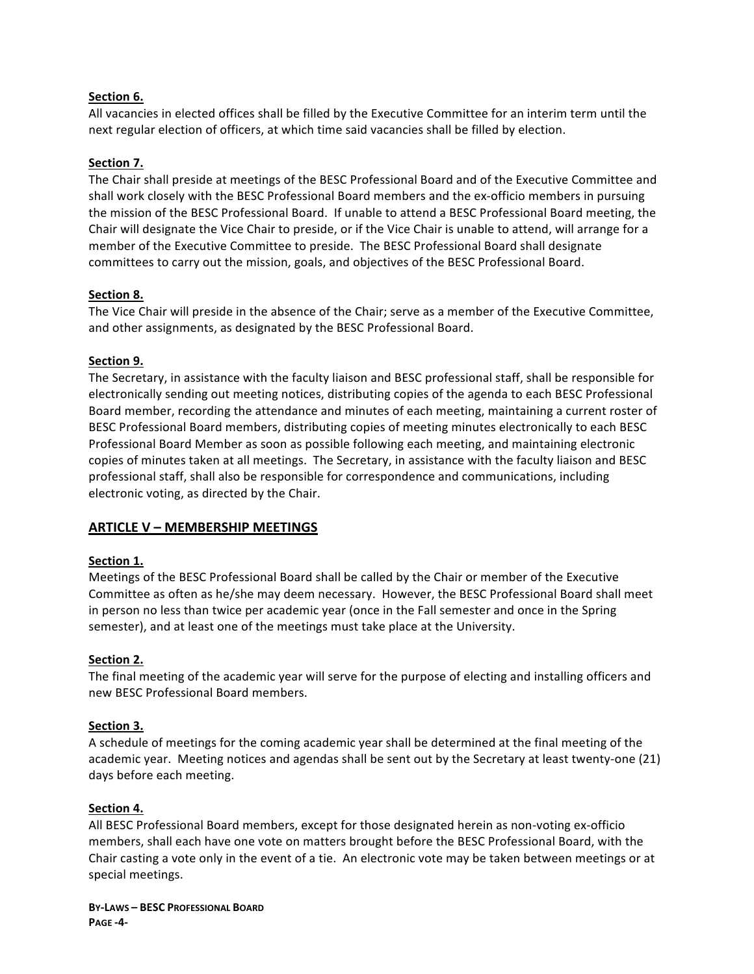#### Section 6.

All vacancies in elected offices shall be filled by the Executive Committee for an interim term until the next regular election of officers, at which time said vacancies shall be filled by election.

# **Section 7.**

The Chair shall preside at meetings of the BESC Professional Board and of the Executive Committee and shall work closely with the BESC Professional Board members and the ex-officio members in pursuing the mission of the BESC Professional Board. If unable to attend a BESC Professional Board meeting, the Chair will designate the Vice Chair to preside, or if the Vice Chair is unable to attend, will arrange for a member of the Executive Committee to preside. The BESC Professional Board shall designate committees to carry out the mission, goals, and objectives of the BESC Professional Board.

# **Section 8.**

The Vice Chair will preside in the absence of the Chair; serve as a member of the Executive Committee, and other assignments, as designated by the BESC Professional Board.

# **Section 9.**

The Secretary, in assistance with the faculty liaison and BESC professional staff, shall be responsible for electronically sending out meeting notices, distributing copies of the agenda to each BESC Professional Board member, recording the attendance and minutes of each meeting, maintaining a current roster of BESC Professional Board members, distributing copies of meeting minutes electronically to each BESC Professional Board Member as soon as possible following each meeting, and maintaining electronic copies of minutes taken at all meetings. The Secretary, in assistance with the faculty liaison and BESC professional staff, shall also be responsible for correspondence and communications, including electronic voting, as directed by the Chair.

# **ARTICLE V - MEMBERSHIP MEETINGS**

#### **Section 1.**

Meetings of the BESC Professional Board shall be called by the Chair or member of the Executive Committee as often as he/she may deem necessary. However, the BESC Professional Board shall meet in person no less than twice per academic year (once in the Fall semester and once in the Spring semester), and at least one of the meetings must take place at the University.

#### **Section 2.**

The final meeting of the academic year will serve for the purpose of electing and installing officers and new BESC Professional Board members.

#### **Section 3.**

A schedule of meetings for the coming academic year shall be determined at the final meeting of the academic year. Meeting notices and agendas shall be sent out by the Secretary at least twenty-one (21) days before each meeting.

#### **Section 4.**

All BESC Professional Board members, except for those designated herein as non-voting ex-officio members, shall each have one vote on matters brought before the BESC Professional Board, with the Chair casting a vote only in the event of a tie. An electronic vote may be taken between meetings or at special meetings.

**BY-LAWS – BESC PROFESSIONAL BOARD PAGE -4-**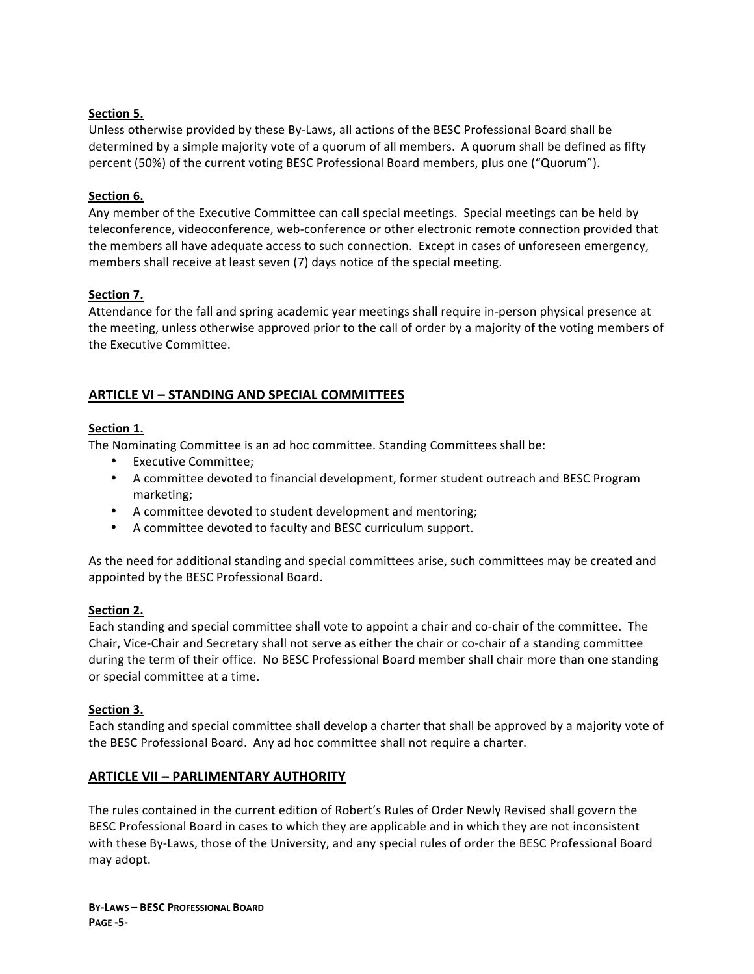# **Section 5.**

Unless otherwise provided by these By-Laws, all actions of the BESC Professional Board shall be determined by a simple majority vote of a quorum of all members. A quorum shall be defined as fifty percent (50%) of the current voting BESC Professional Board members, plus one ("Quorum").

# **Section 6.**

Any member of the Executive Committee can call special meetings. Special meetings can be held by teleconference, videoconference, web-conference or other electronic remote connection provided that the members all have adequate access to such connection. Except in cases of unforeseen emergency, members shall receive at least seven (7) days notice of the special meeting.

# Section 7.

Attendance for the fall and spring academic year meetings shall require in-person physical presence at the meeting, unless otherwise approved prior to the call of order by a majority of the voting members of the Executive Committee.

# **ARTICLE VI – STANDING AND SPECIAL COMMITTEES**

#### **Section 1.**

The Nominating Committee is an ad hoc committee. Standing Committees shall be:

- Executive Committee:
- A committee devoted to financial development, former student outreach and BESC Program marketing;
- A committee devoted to student development and mentoring;
- A committee devoted to faculty and BESC curriculum support.

As the need for additional standing and special committees arise, such committees may be created and appointed by the BESC Professional Board.

#### **Section 2.**

Each standing and special committee shall vote to appoint a chair and co-chair of the committee. The Chair, Vice-Chair and Secretary shall not serve as either the chair or co-chair of a standing committee during the term of their office. No BESC Professional Board member shall chair more than one standing or special committee at a time.

#### **Section 3.**

Each standing and special committee shall develop a charter that shall be approved by a majority vote of the BESC Professional Board. Any ad hoc committee shall not require a charter.

# **ARTICLE VII - PARLIMENTARY AUTHORITY**

The rules contained in the current edition of Robert's Rules of Order Newly Revised shall govern the BESC Professional Board in cases to which they are applicable and in which they are not inconsistent with these By-Laws, those of the University, and any special rules of order the BESC Professional Board may adopt.